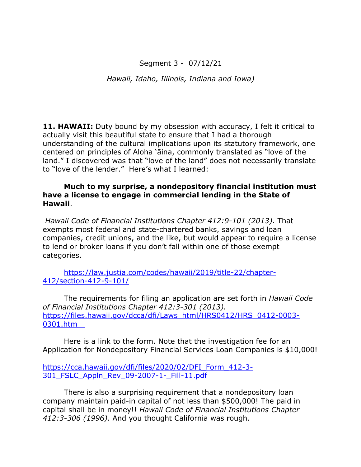## Segment 3 - 07/12/21

*Hawaii, Idaho, Illinois, Indiana and Iowa)*

**11. HAWAII:** Duty bound by my obsession with accuracy, I felt it critical to actually visit this beautiful state to ensure that I had a thorough understanding of the cultural implications upon its statutory framework, one centered on principles of Aloha 'āina, commonly translated as "love of the land." I discovered was that "love of the land" does not necessarily translate to "love of the lender." Here's what I learned:

#### **Much to my surprise, a nondepository financial institution must have a license to engage in commercial lending in the State of Hawaii**.

*Hawaii Code of Financial Institutions Chapter 412:9-101 (2013).* That exempts most federal and state-chartered banks, savings and loan companies, credit unions, and the like, but would appear to require a license to lend or broker loans if you don't fall within one of those exempt categories.

https://law.justia.com/codes/hawaii/2019/title-22/chapter-412/section-412-9-101/

The requirements for filing an application are set forth in *Hawaii Code of Financial Institutions Chapter 412:3-301 (2013).* https://files.hawaii.gov/dcca/dfi/Laws\_html/HRS0412/HRS\_0412-0003- 0301.htm

Here is a link to the form. Note that the investigation fee for an Application for Nondepository Financial Services Loan Companies is \$10,000!

https://cca.hawaii.gov/dfi/files/2020/02/DFI\_Form\_412-3- 301\_FSLC\_Appln\_Rev\_09-2007-1-\_Fill-11.pdf

There is also a surprising requirement that a nondepository loan company maintain paid-in capital of not less than \$500,000! The paid in capital shall be in money!! *Hawaii Code of Financial Institutions Chapter 412:3-306 (1996).* And you thought California was rough.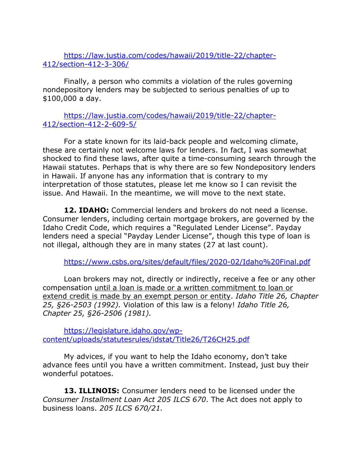https://law.justia.com/codes/hawaii/2019/title-22/chapter-412/section-412-3-306/

Finally, a person who commits a violation of the rules governing nondepository lenders may be subjected to serious penalties of up to \$100,000 a day.

### https://law.justia.com/codes/hawaii/2019/title-22/chapter-412/section-412-2-609-5/

For a state known for its laid-back people and welcoming climate, these are certainly not welcome laws for lenders. In fact, I was somewhat shocked to find these laws, after quite a time-consuming search through the Hawaii statutes. Perhaps that is why there are so few Nondepository lenders in Hawaii. If anyone has any information that is contrary to my interpretation of those statutes, please let me know so I can revisit the issue. And Hawaii. In the meantime, we will move to the next state.

**12. IDAHO:** Commercial lenders and brokers do not need a license. Consumer lenders, including certain mortgage brokers, are governed by the Idaho Credit Code, which requires a "Regulated Lender License". Payday lenders need a special "Payday Lender License", though this type of loan is not illegal, although they are in many states (27 at last count).

https://www.csbs.org/sites/default/files/2020-02/Idaho%20Final.pdf

Loan brokers may not, directly or indirectly, receive a fee or any other compensation until a loan is made or a written commitment to loan or extend credit is made by an exempt person or entity. *Idaho Title 26, Chapter 25, §26-2503 (1992).* Violation of this law is a felony! *Idaho Title 26, Chapter 25, §26-2506 (1981).*

https://legislature.idaho.gov/wpcontent/uploads/statutesrules/idstat/Title26/T26CH25.pdf

My advices, if you want to help the Idaho economy, don't take advance fees until you have a written commitment. Instead, just buy their wonderful potatoes.

**13. ILLINOIS:** Consumer lenders need to be licensed under the *Consumer Installment Loan Act 205 ILCS 670*. The Act does not apply to business loans. *205 ILCS 670/21.*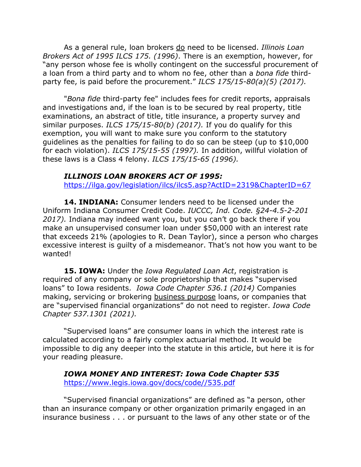As a general rule, loan brokers do need to be licensed. *Illinois Loan Brokers Act of 1995 ILCS 175. (1996)*. There is an exemption, however, for "any person whose fee is wholly contingent on the successful procurement of a loan from a third party and to whom no fee, other than a *bona fide* thirdparty fee, is paid before the procurement." *ILCS 175/15-80(a)(5) (2017).*

"*Bona fide* third-party fee" includes fees for credit reports, appraisals and investigations and, if the loan is to be secured by real property, title examinations, an abstract of title, title insurance, a property survey and similar purposes. *ILCS 175/15-80(b) (2017).* If you do qualify for this exemption, you will want to make sure you conform to the statutory guidelines as the penalties for failing to do so can be steep (up to \$10,000 for each violation). *ILCS 175/15-55 (1997).* In addition, willful violation of these laws is a Class 4 felony. *ILCS 175/15-65 (1996).*

#### *ILLINOIS LOAN BROKERS ACT OF 1995:*

https://ilga.gov/legislation/ilcs/ilcs5.asp?ActID=2319&ChapterID=67

14. **INDIANA:** Consumer lenders need to be licensed under the Uniform Indiana Consumer Credit Code. *IUCCC, Ind. Code. §24-4.5-2-201 2017).* Indiana may indeed want you, but you can't go back there if you make an unsupervised consumer loan under \$50,000 with an interest rate that exceeds 21% (apologies to R. Dean Taylor), since a person who charges excessive interest is guilty of a misdemeanor. That's not how you want to be wanted!

**15. IOWA:** Under the *Iowa Regulated Loan Act*, registration is required of any company or sole proprietorship that makes "supervised loans" to Iowa residents. *Iowa Code Chapter 536.1 (2014)* Companies making, servicing or brokering business purpose loans, or companies that are "supervised financial organizations" do not need to register. *Iowa Code Chapter 537.1301 (2021).*

"Supervised loans" are consumer loans in which the interest rate is calculated according to a fairly complex actuarial method. It would be impossible to dig any deeper into the statute in this article, but here it is for your reading pleasure.

*IOWA MONEY AND INTEREST: Iowa Code Chapter 535* https://www.legis.iowa.gov/docs/code//535.pdf

"Supervised financial organizations" are defined as "a person, other than an insurance company or other organization primarily engaged in an insurance business . . . or pursuant to the laws of any other state or of the